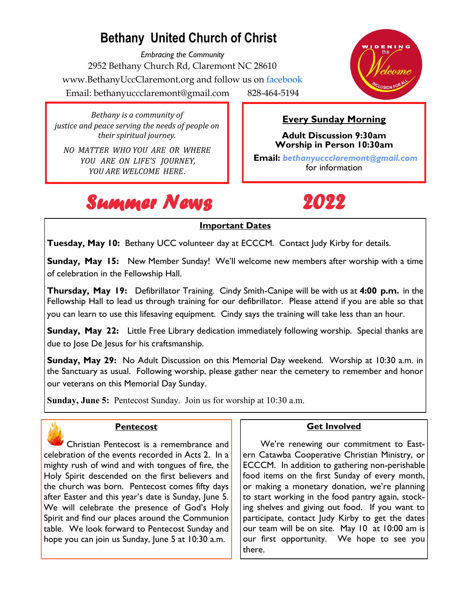### **Bethany United Church of Christ**

*Embracing the Community* 2952 Bethany Church Rd, Claremont NC 28610 www.BethanyUccClaremont.org and follow us on facebook Email: bethanyuccclaremont@gmail.com 828-464-5194



*Bethany is a community of justice and peace serving the needs of people on their spiritual journey.*

*NO MATTER WHO YOU ARE OR WHERE YOU ARE ON LIFE'S JOURNEY, YOU ARE WELCOME HERE*.



**Every Sunday Morning**

**Adult Discussion 9:30am Worship in Person 10:30am Email:** *bethanyuccclaremont@gmail.com*  for information

## *Summer News 2022*

#### **Important Dates**

**Tuesday, May 10:** Bethany UCC volunteer day at ECCCM. Contact Judy Kirby for details.

**Sunday, May 15:** New Member Sunday! We'll welcome new members after worship with a time of celebration in the Fellowship Hall.

**Thursday, May 19:** Defibrillator Training. Cindy Smith-Canipe will be with us at **4:00 p.m.** in the Fellowship Hall to lead us through training for our defibrillator. Please attend if you are able so that you can learn to use this lifesaving equipment. Cindy says the training will take less than an hour.

**Sunday, May 22:** Little Free Library dedication immediately following worship. Special thanks are due to Jose De Jesus for his craftsmanship.

**Sunday, May 29:** No Adult Discussion on this Memorial Day weekend. Worship at 10:30 a.m. in the Sanctuary as usual. Following worship, please gather near the cemetery to remember and honor our veterans on this Memorial Day Sunday.

**Sunday, June 5:** Pentecost Sunday. Join us for worship at 10:30 a.m.



#### **Pentecost**

 Christian Pentecost is a remembrance and celebration of the events recorded in Acts 2. In a mighty rush of wind and with tongues of fire, the Holy Spirit descended on the first believers and the church was born. Pentecost comes fifty days after Easter and this year's date is Sunday, June 5. We will celebrate the presence of God's Holy Spirit and find our places around the Communion table. We look forward to Pentecost Sunday and hope you can join us Sunday, June 5 at 10:30 a.m.

#### **Get Involved**

 We're renewing our commitment to Eastern Catawba Cooperative Christian Ministry, or ECCCM. In addition to gathering non-perishable food items on the first Sunday of every month, or making a monetary donation, we're planning to start working in the food pantry again, stocking shelves and giving out food. If you want to participate, contact Judy Kirby to get the dates our team will be on site. May 10 at 10:00 am is our first opportunity. We hope to see you there.